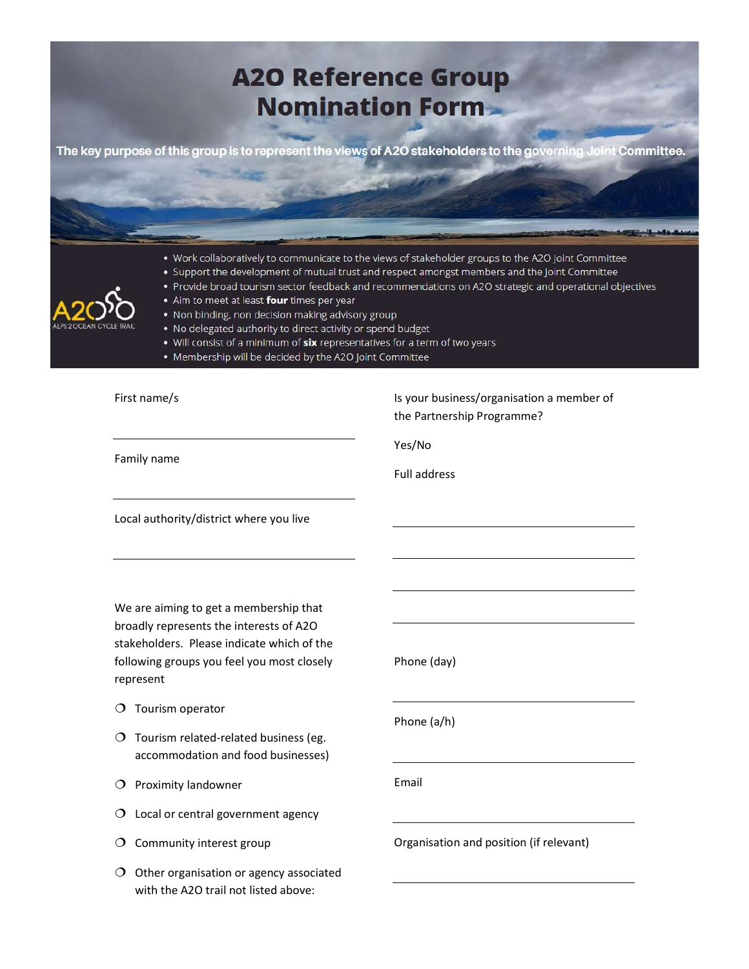

broadly represents the interests of A2O stakeholders. Please indicate which of the following groups you feel you most closely represent

Phone (day)

 $O$  Tourism operator

- $O$  Tourism related-related business (eg. accommodation and food businesses)
- $\overline{O}$  Proximity landowner
- O Local or central government agency
- $O$  Community interest group
- $O$  Other organisation or agency associated with the A2O trail not listed above:

Phone (a/h)

Email

Organisation and position (if relevant)